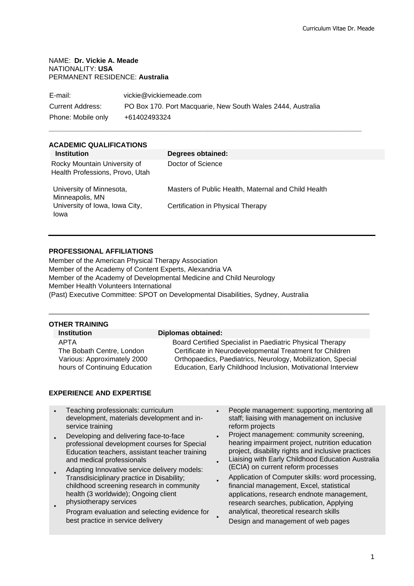#### NAME: **Dr. Vickie A. Meade** NATIONALITY: **USA**  PERMANENT RESIDENCE: **Australia**

| E-mail:            | vickie@vickiemeade.com                                      |
|--------------------|-------------------------------------------------------------|
| Current Address:   | PO Box 170. Port Macquarie, New South Wales 2444, Australia |
| Phone: Mobile only | +61402493324                                                |

# **ACADEMIC QUALIFICATIONS**

| <b>Institution</b>                                              | Degrees obtained:                                   |
|-----------------------------------------------------------------|-----------------------------------------------------|
| Rocky Mountain University of<br>Health Professions, Provo, Utah | Doctor of Science                                   |
| University of Minnesota,<br>Minneapolis, MN                     | Masters of Public Health, Maternal and Child Health |
| University of Iowa, Iowa City,<br>Iowa                          | Certification in Physical Therapy                   |

**\_\_\_\_\_\_\_\_\_\_\_\_\_\_\_\_\_\_\_\_\_\_\_\_\_\_\_\_\_\_\_\_\_\_\_\_\_\_\_\_\_\_\_\_\_\_\_\_\_\_\_\_\_\_\_\_\_\_\_\_\_\_\_\_\_\_\_\_\_\_\_\_\_\_\_\_\_\_\_\_\_**

# **PROFESSIONAL AFFILIATIONS**

Member of the American Physical Therapy Association Member of the Academy of Content Experts, Alexandria VA Member of the Academy of Developmental Medicine and Child Neurology Member Health Volunteers International (Past) Executive Committee: SPOT on Developmental Disabilities, Sydney, Australia

# **OTHER TRAINING**

# **Institution Diplomas obtained:**

\_\_\_\_\_\_\_\_\_\_\_\_\_\_\_\_\_\_\_\_\_\_\_\_\_\_\_\_\_\_\_\_\_\_\_\_\_\_\_\_\_\_\_\_\_\_\_\_\_\_\_\_\_\_\_\_\_\_\_\_\_\_\_\_\_\_\_\_\_\_\_\_\_\_\_\_\_\_\_\_\_\_\_

APTA Board Certified Specialist in Paediatric Physical Therapy The Bobath Centre, London Certificate in Neurodevelopmental Treatment for Children Various: Approximately 2000 Orthopaedics, Paediatrics, Neurology, Mobilization, Special hours of Continuing Education **Exercise Education, Early Childhood Inclusion, Motivational Interview** 

# **EXPERIENCE AND EXPERTISE**

- Teaching professionals: curriculum development, materials development and inservice training
- Developing and delivering face-to-face professional development courses for Special Education teachers, assistant teacher training and medical professionals
- Adapting Innovative service delivery models: Transdisiciplinary practice in Disability; childhood screening research in community health (3 worldwide); Ongoing client physiotherapy services
- Program evaluation and selecting evidence for best practice in service delivery
- People management: supporting, mentoring all staff; liaising with management on inclusive reform projects
- Project management: community screening, hearing impairment project, nutrition education project, disability rights and inclusive practices
- Liaising with Early Childhood Education Australia (ECIA) on current reform processes
- • Application of Computer skills: word processing, financial management, Excel, statistical applications, research endnote management, research searches, publication, Applying analytical, theoretical research skills
	- Design and management of web pages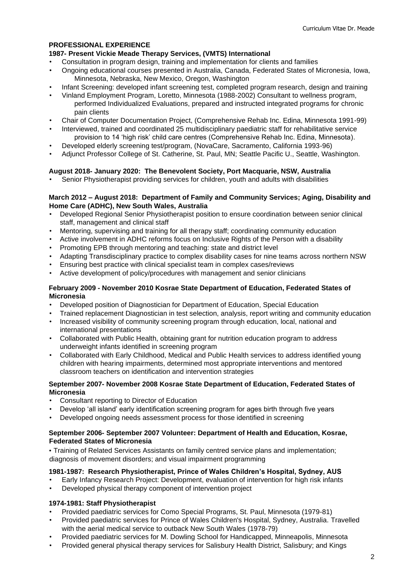## **PROFESSIONAL EXPERIENCE**

## **1987- Present Vickie Meade Therapy Services, (VMTS) International**

- Consultation in program design, training and implementation for clients and families
- Ongoing educational courses presented in Australia, Canada, Federated States of Micronesia, Iowa, Minnesota, Nebraska, New Mexico, Oregon, Washington
- Infant Screening: developed infant screening test, completed program research, design and training
- Vinland Employment Program, Loretto, Minnesota (1988-2002) Consultant to wellness program, performed Individualized Evaluations, prepared and instructed integrated programs for chronic pain clients
- Chair of Computer Documentation Project, (Comprehensive Rehab Inc. Edina, Minnesota 1991-99)
- Interviewed, trained and coordinated 25 multidisciplinary paediatric staff for rehabilitative service provision to 14 'high risk' child care centres (Comprehensive Rehab Inc. Edina, Minnesota).
- Developed elderly screening test/program, (NovaCare, Sacramento, California 1993-96)
- Adjunct Professor College of St. Catherine, St. Paul, MN; Seattle Pacific U., Seattle, Washington.

# **August 2018- January 2020: The Benevolent Society, Port Macquarie, NSW, Australia**

• Senior Physiotherapist providing services for children, youth and adults with disabilities

#### **March 2012 – August 2018: Department of Family and Community Services; Aging, Disability and Home Care (ADHC), New South Wales, Australia**

- Developed Regional Senior Physiotherapist position to ensure coordination between senior clinical staff, management and clinical staff
- Mentoring, supervising and training for all therapy staff; coordinating community education
- Active involvement in ADHC reforms focus on Inclusive Rights of the Person with a disability
- Promoting EPB through mentoring and teaching: state and district level
- Adapting Transdisciplinary practice to complex disability cases for nine teams across northern NSW
- Ensuring best practice with clinical specialist team in complex cases/reviews
- Active development of policy/procedures with management and senior clinicians

## **February 2009 - November 2010 Kosrae State Department of Education, Federated States of Micronesia**

- Developed position of Diagnostician for Department of Education, Special Education
- Trained replacement Diagnostician in test selection, analysis, report writing and community education
- Increased visibility of community screening program through education, local, national and international presentations
- Collaborated with Public Health, obtaining grant for nutrition education program to address underweight infants identified in screening program
- Collaborated with Early Childhood, Medical and Public Health services to address identified young children with hearing impairments, determined most appropriate interventions and mentored classroom teachers on identification and intervention strategies

# **September 2007- November 2008 Kosrae State Department of Education, Federated States of Micronesia**

- Consultant reporting to Director of Education
- Develop 'all island' early identification screening program for ages birth through five years
- Developed ongoing needs assessment process for those identified in screening

#### **September 2006- September 2007 Volunteer: Department of Health and Education, Kosrae, Federated States of Micronesia**

• Training of Related Services Assistants on family centred service plans and implementation; diagnosis of movement disorders; and visual impairment programming

# **1981-1987: Research Physiotherapist, Prince of Wales Children's Hospital, Sydney, AUS**

- Early Infancy Research Project: Development, evaluation of intervention for high risk infants
- Developed physical therapy component of intervention project

# **1974-1981: Staff Physiotherapist**

- Provided paediatric services for Como Special Programs, St. Paul, Minnesota (1979-81)
- Provided paediatric services for Prince of Wales Children's Hospital, Sydney, Australia. Travelled with the aerial medical service to outback New South Wales (1978-79)
- Provided paediatric services for M. Dowling School for Handicapped, Minneapolis, Minnesota
- Provided general physical therapy services for Salisbury Health District, Salisbury; and Kings